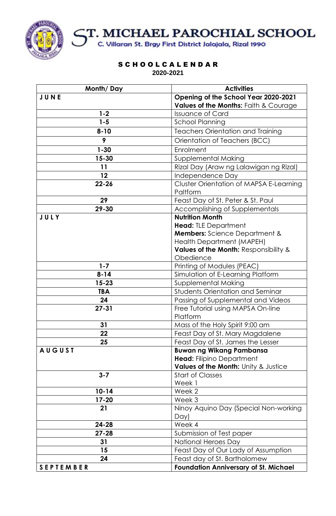

# ST. MICHAEL PAROCHIAL SCHOOL<br>C. Villaran St. Brgy First District Jalajala, Rizal 1990

S C H O O L C A L E N D A R **2020-2021**

| Month/Day        | <b>Activities</b>                               |
|------------------|-------------------------------------------------|
| JUNE             | Opening of the School Year 2020-2021            |
|                  | Values of the Months: Faith & Courage           |
| $1 - 2$          | <b>Issuance of Card</b>                         |
| $1 - 5$          | <b>School Planning</b>                          |
| $8 - 10$         | <b>Teachers Orientation and Training</b>        |
| 9                | Orientation of Teachers (BCC)                   |
| $1 - 30$         | Enrolment                                       |
| 15-30            | <b>Supplemental Making</b>                      |
| 11               | Rizal Day (Araw ng Lalawigan ng Rizal)          |
| $12 \,$          | Independence Day                                |
| $22 - 26$        | <b>Cluster Orientation of MAPSA E-Learning</b>  |
|                  | Paltform                                        |
| 29               | Feast Day of St. Peter & St. Paul               |
| 29-30            | Accomplishing of Supplementals                  |
| JULY             | <b>Nutrition Month</b>                          |
|                  | <b>Head:</b> TLE Department                     |
|                  | <b>Members:</b> Science Department &            |
|                  | <b>Health Department (MAPEH)</b>                |
|                  | Values of the Month: Responsibility &           |
|                  | Obedience                                       |
| $1 - 7$          | Printing of Modules (PEAC)                      |
| $8 - 14$         | Simulation of E-Learning Platform               |
| $15 - 23$        | Supplemental Making                             |
| <b>TBA</b>       | <b>Students Orientation and Seminar</b>         |
| 24               | Passing of Supplemental and Videos              |
| $27 - 31$        | Free Tutorial using MAPSA On-line               |
|                  | Platform                                        |
| 31               | Mass of the Holy Spirit 9:00 am                 |
| 22               | Feast Day of St. Mary Magdalene                 |
| 25               | Feast Day of St. James the Lesser               |
| <b>AUGUST</b>    | <b>Buwan ng Wikang Pambansa</b>                 |
|                  | <b>Head: Filipino Department</b>                |
|                  | <b>Values of the Month: Unity &amp; Justice</b> |
| $3 - 7$          | <b>Start of Classes</b>                         |
| $10 - 14$        | Week 1                                          |
|                  | Week 2                                          |
| 17-20            | Week 3                                          |
| 21               | Ninoy Aquino Day (Special Non-working<br>Day)   |
| 24-28            | Week 4                                          |
| $27 - 28$        | Submission of Test paper                        |
| 31               | National Heroes Day                             |
| 15               | Feast Day of Our Lady of Assumption             |
| 24               | Feast day of St. Bartholomew                    |
| <b>SEPTEMBER</b> | <b>Foundation Anniversary of St. Michael</b>    |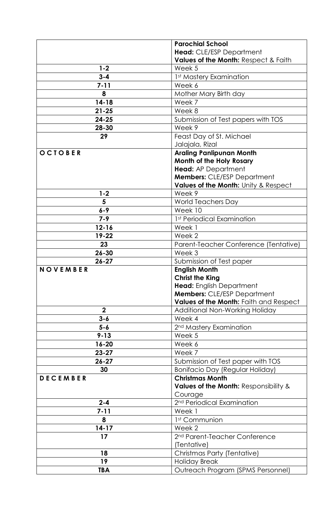|                 | <b>Parochial School</b>                                     |
|-----------------|-------------------------------------------------------------|
|                 | Head: CLE/ESP Department                                    |
|                 | Values of the Month: Respect & Faith                        |
| $1 - 2$         | Week 5                                                      |
| $3 - 4$         | 1st Mastery Examination                                     |
| $7 - 11$        | Week 6                                                      |
| 8               | Mother Mary Birth day                                       |
| $14 - 18$       | Week 7                                                      |
| $21 - 25$       | Week 8                                                      |
| $24 - 25$       | Submission of Test papers with TOS                          |
| 28-30           | Week 9                                                      |
| 29              | Feast Day of St. Michael                                    |
|                 | Jalajala, Rizal                                             |
| OCTOBER         | <b>Araling Panlipunan Month</b>                             |
|                 | Month of the Holy Rosary                                    |
|                 | <b>Head:</b> AP Department                                  |
|                 | <b>Members: CLE/ESP Department</b>                          |
|                 | Values of the Month: Unity & Respect                        |
| $1 - 2$         | Week 9                                                      |
| 5<br>$6 - 9$    | <b>World Teachers Day</b><br>Week 10                        |
|                 |                                                             |
| $7 - 9$         | 1st Periodical Examination                                  |
| $12 - 16$       | Week 1                                                      |
| 19-22           | Week 2                                                      |
| 23<br>$26 - 30$ | Parent-Teacher Conference (Tentative)                       |
|                 | Week 3                                                      |
|                 |                                                             |
| $26 - 27$       | Submission of Test paper                                    |
| NOVEMBER        | <b>English Month</b>                                        |
|                 | <b>Christ the King</b>                                      |
|                 | <b>Head:</b> English Department                             |
|                 | <b>Members: CLE/ESP Department</b>                          |
|                 | Values of the Month: Faith and Respect                      |
| $\mathbf 2$     | Additional Non-Working Holiday                              |
| $3 - 6$         | Week 4                                                      |
| $5 - 6$         | 2 <sup>nd</sup> Mastery Examination                         |
| $9 - 13$        | Week 5<br>Week 6                                            |
| 16-20           | Week 7                                                      |
| $23 - 27$       |                                                             |
| $26 - 27$       | Submission of Test paper with TOS                           |
| 30              | <b>Bonifacio Day (Regular Holiday)</b>                      |
| <b>DECEMBER</b> | <b>Christmas Month</b>                                      |
|                 | <b>Values of the Month: Responsibility &amp;</b><br>Courage |
| $2 - 4$         | 2 <sup>nd</sup> Periodical Examination                      |
| $7 - 11$        | Week 1                                                      |
| 8               | 1 <sup>st</sup> Communion                                   |
| $14 - 17$       | Week 2                                                      |
| 17              | 2 <sup>nd</sup> Parent-Teacher Conference                   |
|                 | (Tentative)                                                 |
| 18              | Christmas Party (Tentative)                                 |
| 19              | <b>Holiday Break</b>                                        |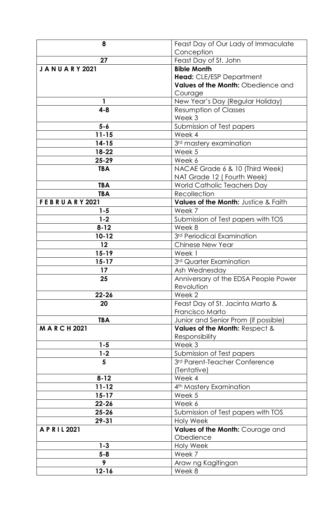| 8                    | Feast Day of Our Lady of Immaculate  |
|----------------------|--------------------------------------|
|                      | Conception                           |
| 27                   | Feast Day of St. John                |
| <b>JANUARY 2021</b>  | <b>Bible Month</b>                   |
|                      | Head: CLE/ESP Department             |
|                      | Values of the Month: Obedience and   |
|                      | Courage                              |
|                      | New Year's Day (Regular Holiday)     |
| $4 - 8$              | <b>Resumption of Classes</b>         |
|                      | Week 3                               |
| $5 - 6$              | Submission of Test papers            |
| $11 - 15$            | Week 4                               |
| $14 - 15$            | 3 <sup>rd</sup> mastery examination  |
| 18-22                | Week 5                               |
| $25 - 29$            | Week 6                               |
| <b>TBA</b>           | NACAE Grade 6 & 10 (Third Week)      |
|                      | NAT Grade 12 (Fourth Week)           |
| <b>TBA</b>           | World Catholic Teachers Day          |
| <b>TBA</b>           | Recollection                         |
| <b>FEBRUARY 2021</b> | Values of the Month: Justice & Faith |
| 1-5                  | Week 7                               |
| $1 - 2$              | Submission of Test papers with TOS   |
| $8 - 12$             | Week 8                               |
| $10 - 12$            | 3rd Periodical Examination           |
| 12                   | <b>Chinese New Year</b>              |
| $15 - 19$            | Week 1                               |
| $15 - 17$            | 3rd Quarter Examination              |
| 17                   | Ash Wednesday                        |
| 25                   | Anniversary of the EDSA People Power |
|                      | Revolution                           |
| $22 - 26$            | Week 2                               |
| 20                   | Feast Day of St. Jacinta Marto &     |
|                      | Francisco Marto                      |
| <b>TBA</b>           | Junior and Senior Prom (if possible) |
| <b>MARCH2021</b>     | Values of the Month: Respect &       |
|                      | Responsibility                       |
| $1 - 5$              | Week 3                               |
| $1 - 2$              | Submission of Test papers            |
| 5                    | 3rd Parent-Teacher Conference        |
|                      | (Tentative)                          |
| $8 - 12$             | Week 4                               |
| $11 - 12$            | 4 <sup>th</sup> Mastery Examination  |
| $15 - 17$            | Week 5                               |
| $22 - 26$            | Week 6                               |
| $25 - 26$            | Submission of Test papers with TOS   |
| 29-31                | <b>Holy Week</b>                     |
| APRIL 2021           | Values of the Month: Courage and     |
|                      | Obedience                            |
| $1 - 3$<br>$5 - 8$   | <b>Holy Week</b><br>Week 7           |
| 9                    |                                      |
|                      | Araw ng Kagitingan                   |
| $12 - 16$            | Week 8                               |